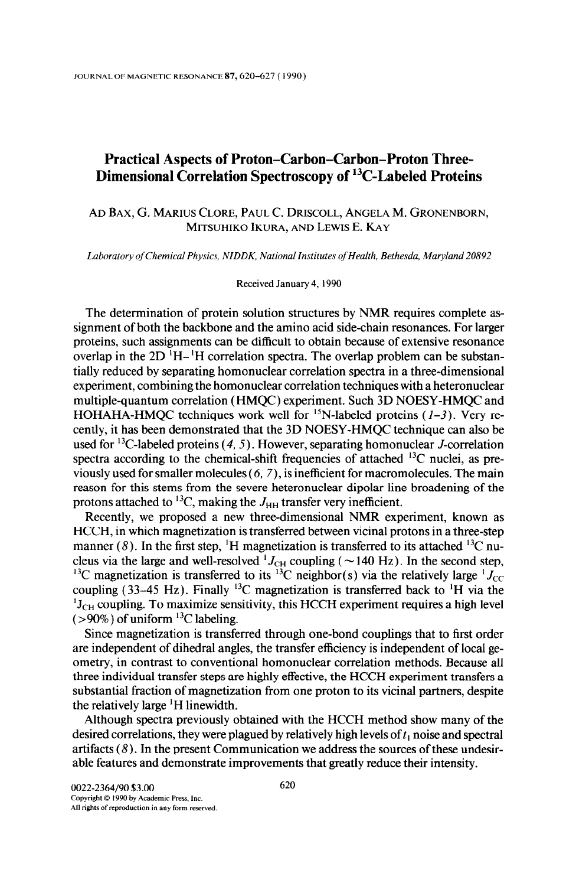# Practical Aspects of Proton-Carbon-Carbon-Proton Three-Dimensional Correlation Spectroscopy of 13C-Labeled Proteins

## ADBAX,G.MARIUSCLORE,PAULC.DRISCOLL,ANGELA M. GRONENBORN, MITSUHIKO IKURA, AND LEWIS E. KAY

Laboratory of Chemical Physics, NIDDK, National Institutes of Health, Bethesda, Maryland 20892

#### Received January 4, 1990

The determination of protein solution structures by NMR requires complete assignment of both the backbone and the amino acid side-chain resonances. For larger proteins, such assignments can be difficult to obtain because of extensive resonance overlap in the  $2D$  <sup>1</sup>H $-$ <sup>1</sup>H correlation spectra. The overlap problem can be substantially reduced by separating homonuclear correlation spectra in a three-dimensional experiment, combining the homonuclear correlation techniques with a heteronuclear multiple-quantum correlation (HMQC) experiment. Such 3D NOESY-HMQC and HOHAHA-HMQC techniques work well for <sup>15</sup>N-labeled proteins  $(1-3)$ . Very recently, it has been demonstrated that the 3D NOESY-HMQC technique can also be used for  $^{13}$ C-labeled proteins (4, 5). However, separating homonuclear J-correlation spectra according to the chemical-shift frequencies of attached  $13C$  nuclei, as previously used for smaller molecules  $(6, 7)$ , is inefficient for macromolecules. The main reason for this stems from the severe heteronuclear dipolar line broadening of the protons attached to <sup>13</sup>C, making the  $J_{HH}$  transfer very inefficient.

Recently, we proposed a new three-dimensional NMR experiment, known as HCCH, in which magnetization is transferred between vicinal protons in a three-step manner (8). In the first step, <sup>1</sup>H magnetization is transferred to its attached <sup>13</sup>C nucleus via the large and well-resolved  ${}^{1}J_{\text{CH}}$  coupling (  $\sim$  140 Hz). In the second step, <sup>13</sup>C magnetization is transferred to its <sup>13</sup>C neighbor(s) via the relatively large <sup>1</sup>J<sub>cc</sub> coupling (33-45 Hz). Finally <sup>13</sup>C magnetization is transferred back to <sup>1</sup>H via the  ${}^{1}J_{CH}$  coupling. To maximize sensitivity, this HCCH experiment requires a high level  $(>90\%)$  of uniform <sup>13</sup>C labeling.

Since magnetization is transferred through one-bond couplings that to first order are independent of dihedral angles, the transfer efficiency is independent of local geometry, in contrast to conventional homonuclear correlation methods. Because all three individual transfer steps are highly effective, the HCCH experiment transfers a substantial fraction of magnetization from one proton to its vicinal partners, despite the relatively large 'H linewidth.

Although spectra previously obtained with the HCCH method show many of the desired correlations, they were plagued by relatively high levels of  $t_1$  noise and spectral artifacts  $(8)$ . In the present Communication we address the sources of these undesirable features and demonstrate improvements that greatly reduce their intensity.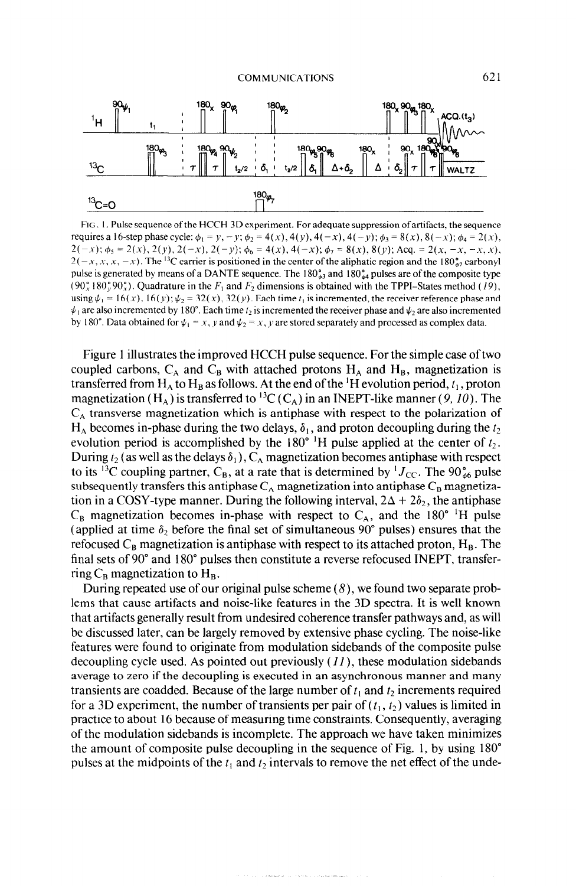

FIG 1. Pulse sequence of the HCCH 3D experiment. For adequate suppression ofartifacts. the sequence requires a 16-step phase cycle:  $\phi_1 = y, -y; \phi_2 = 4(x), 4(y), 4(-x), 4(-y); \phi_3 = 8(x), 8(-x); \phi_4 = 2(x),$  $2(-x); \phi_5 = 2(x), 2(y), 2(-x), 2(-y); \phi_6 = 4(x), 4(-x); \phi_7 = 8(x), 8(y); \text{Acq.} = 2(x, -x, -x, x),$  $2(-x, x, x, -x)$ . The <sup>13</sup>C carrier is positioned in the center of the aliphatic region and the 180 $\frac{1}{67}$  carbonyl pulse is generated by means of a DANTE sequence. The  $180_{\phi}^{\circ}$  and  $180_{\phi}^{\circ}$  pulses are of the composite type  $(90_x^{\circ}180_y^{\circ}90_x^{\circ})$ . Quadrature in the  $F_1$  and  $F_2$  dimensions is obtained with the TPPI-States method (19), using  $\psi_1 = 16(x)$ ,  $16(y)$ ;  $\psi_2 = 32(x)$ ,  $32(y)$ . Each time  $t_1$  is incremented, the receiver reference phase and  $\psi_1$  are also incremented by 180°. Each time  $t_2$  is incremented the receiver phase and  $\psi_2$  are also incremented by 180°. Data obtained for  $\psi_1 = x$ , y and  $\psi_2 = x$ , y are stored separately and processed as complex data.

Figure 1 illustrates the improved HCCH pulse sequence. For the simple case of two coupled carbons,  $C_A$  and  $C_B$  with attached protons  $H_A$  and  $H_B$ , magnetization is transferred from  $H_A$  to  $H_B$  as follows. At the end of the <sup>1</sup>H evolution period,  $t_1$ , proton magnetization (H<sub>A</sub>) is transferred to <sup>13</sup>C (C<sub>A</sub>) in an INEPT-like manner (9, 10). The  $C_A$  transverse magnetization which is antiphase with respect to the polarization of  $H_A$  becomes in-phase during the two delays,  $\delta_1$ , and proton decoupling during the  $t_2$ evolution period is accomplished by the 180 $^{\circ}$  <sup>1</sup>H pulse applied at the center of  $t_2$ . During  $t_2$  (as well as the delays  $\delta_1$ ),  $C_A$  magnetization becomes antiphase with respect to its <sup>13</sup>C coupling partner, C<sub>B</sub>, at a rate that is determined by <sup>1</sup>J<sub>CC</sub>. The 90 $^{\circ}_{\phi$ <sub>6</sub> pulse subsequently transfers this antiphase  $C_A$  magnetization into antiphase  $C_B$  magnetization in a COSY-type manner. During the following interval,  $2\Delta + 2\delta_2$ , the antiphase  $C_B$  magnetization becomes in-phase with respect to  $C_A$ , and the 180° <sup>1</sup>H pulse (applied at time  $\delta_2$  before the final set of simultaneous 90° pulses) ensures that the refocused  $C_B$  magnetization is antiphase with respect to its attached proton,  $H_B$ . The final sets of 90" and 180" pulses then constitute a reverse refocused INEPT, transferring  $C_B$  magnetization to  $H_B$ .

During repeated use of our original pulse scheme  $(8)$ , we found two separate problems that cause artifacts and noise-like features in the 3D spectra. It is well known that artifacts generally result from undesired coherence transfer pathways and, as will be discussed later, can be largely removed by extensive phase cycling. The noise-like features were found to originate from modulation sidebands of the composite pulse decoupling cycle used. As pointed out previously  $(11)$ , these modulation sidebands average to zero if the decoupling is executed in an asynchronous manner and many transients are coadded. Because of the large number of  $t_1$  and  $t_2$  increments required for a 3D experiment, the number of transients per pair of  $(t_1, t_2)$  values is limited in practice to about 16 because of measuring time constraints. Consequently, averaging of the modulation sidebands is incomplete. The approach we have taken minimizes the amount of composite pulse decoupling in the sequence of Fig. 1, by using 180" pulses at the midpoints of the  $t_1$  and  $t_2$  intervals to remove the net effect of the unde-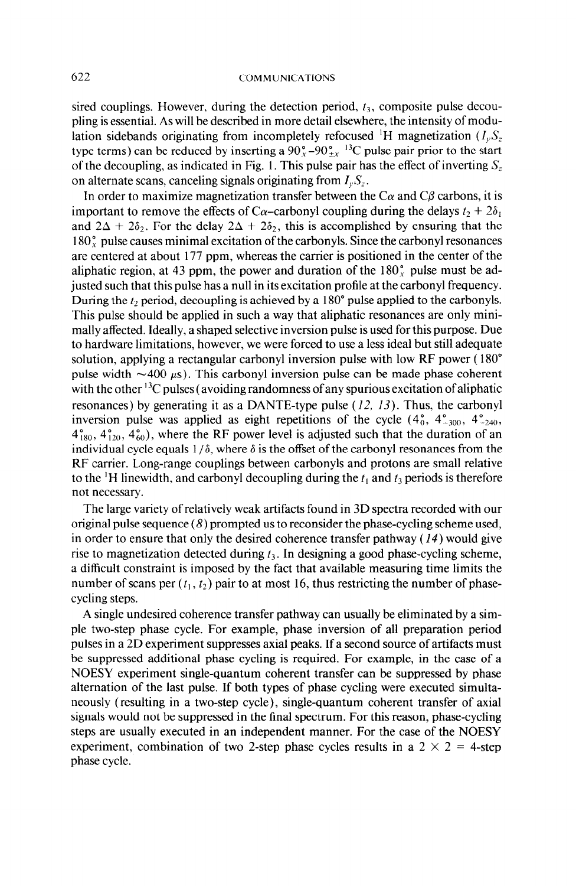### 622 COMMUNICATIONS

sired couplings. However, during the detection period,  $t_3$ , composite pulse decoupling is essential. As will be described in more detail elsewhere, the intensity of modulation sidebands originating from incompletely refocused <sup>1</sup>H magnetization ( $I_yS_z$ ) type terms) can be reduced by inserting a  $90^\circ_{x}$  –90 $^\circ_{x}$  <sup>13</sup>C pulse pair prior to the start of the decoupling, as indicated in Fig. 1. This pulse pair has the effect of inverting  $S_z$ on alternate scans, canceling signals originating from  $I_vS_z$ .

In order to maximize magnetization transfer between the  $C\alpha$  and  $C\beta$  carbons, it is important to remove the effects of C $\alpha$ -carbonyl coupling during the delays  $t_2 + 2\delta_1$ and  $2\Delta + 2\delta_2$ . For the delay  $2\Delta + 2\delta_2$ , this is accomplished by ensuring that the  $180<sub>x</sub><sup>o</sup>$  pulse causes minimal excitation of the carbonyls. Since the carbonyl resonances are centered at about 177 ppm, whereas the carrier is positioned in the center of the aliphatic region, at 43 ppm, the power and duration of the  $180<sup>\circ</sup>$ , pulse must be adjusted such that this pulse has a null in its excitation profile at the carbonyl frequency. During the  $t_2$  period, decoupling is achieved by a 180 $^{\circ}$  pulse applied to the carbonyls. This pulse should be applied in such a way that aliphatic resonances are only minimally affected. Ideally, a shaped selective inversion pulse is used for this purpose. Due to hardware limitations, however, we were forced to use a less ideal but still adequate solution, applying a rectangular carbonyl inversion pulse with low RF power ( 180" pulse width  $\sim$ 400  $\mu$ s). This carbonyl inversion pulse can be made phase coherent with the other <sup>13</sup>C pulses (avoiding randomness of any spurious excitation of aliphatic resonances) by generating it as a DANTE-type pulse  $(12, 13)$ . Thus, the carbonyl inversion pulse was applied as eight repetitions of the cycle  $(4_0^{\circ}, 4_{-300}^{\circ}, 4_{-240}^{\circ})$  $4_{180}^{\circ}$ ,  $4_{120}^{\circ}$ ,  $4_{60}^{\circ}$ ), where the RF power level is adjusted such that the duration of an individual cycle equals  $1/\delta$ , where  $\delta$  is the offset of the carbonyl resonances from the RF carrier. Long-range couplings between carbonyls and protons are small relative to the <sup>1</sup>H linewidth, and carbonyl decoupling during the  $t_1$  and  $t_3$  periods is therefore not necessary.

The large variety of relatively weak artifacts found in 3D spectra recorded with our original pulse sequence  $(8)$  prompted us to reconsider the phase-cycling scheme used, in order to ensure that only the desired coherence transfer pathway  $(14)$  would give rise to magnetization detected during  $t_3$ . In designing a good phase-cycling scheme, a difficult constraint is imposed by the fact that available measuring time limits the number of scans per  $(t_1, t_2)$  pair to at most 16, thus restricting the number of phasecycling steps.

A single undesired coherence transfer pathway can usually be eliminated by a simple two-step phase cycle. For example, phase inversion of all preparation period pulses in a 2D experiment suppresses axial peaks. If a second source of artifacts must be suppressed additional phase cycling is required. For example, in the case of a NOESY experiment single-quantum coherent transfer can be suppressed by phase alternation of the last pulse. If both types of phase cycling were executed simultaneously (resulting in a two-step cycle), single-quantum coherent transfer of axial signals would not be suppressed in the final spectrum. For this reason, phase-cycling steps are usually executed in an independent manner. For the case of the NOESY experiment, combination of two 2-step phase cycles results in a  $2 \times 2 = 4$ -step phase cycle.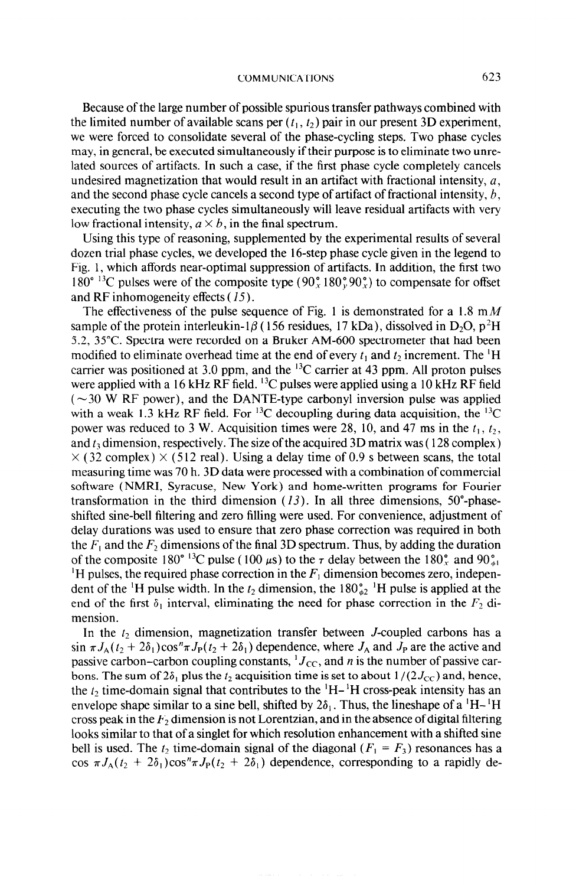Because of the large number of possible spurious transfer pathways combined with the limited number of available scans per  $(t_1, t_2)$  pair in our present 3D experiment, we were forced to consolidate several of the phase-cycling steps. Two phase cycles may, in general, be executed simultaneously if their purpose is to eliminate two unrelated sources of artifacts. In such a case, if the first phase cycle completely cancels undesired magnetization that would result in an artifact with fractional intensity,  $a$ , and the second phase cycle cancels a second type of artifact of fractional intensity,  $b$ , executing the two phase cycles simultaneously will leave residual artifacts with very low fractional intensity,  $a \times b$ , in the final spectrum.

Using this type of reasoning, supplemented by the experimental results of several dozen trial phase cycles, we developed the 16-step phase cycle given in the legend to Fig. 1, which affords near-optimal suppression of artifacts. In addition, the first two 180° <sup>13</sup>C pulses were of the composite type  $(90<sub>x</sub><sup>\circ</sup> 180<sub>y</sub><sup>\circ</sup> 90<sub>x</sub><sup>\circ</sup>)$  to compensate for offset and RF inhomogeneity effects ( IS).

The effectiveness of the pulse sequence of Fig. 1 is demonstrated for a 1.8 m $M$ sample of the protein interleukin-1 $\beta$  (156 residues, 17 kDa), dissolved in D<sub>2</sub>O, p<sup>2</sup>H 5.2, 35°C. Spectra were recorded on a Bruker AM-600 spectrometer that had been modified to eliminate overhead time at the end of every  $t_1$  and  $t_2$  increment. The <sup>1</sup>H carrier was positioned at 3.0 ppm, and the  ${}^{13}$ C carrier at 43 ppm. All proton pulses were applied with a 16 kHz RF field. 13C pulses were applied using a 10 kHz RF field  $(-30 \text{ W RF power})$ , and the DANTE-type carbonyl inversion pulse was applied with a weak 1.3 kHz RF field. For <sup>13</sup>C decoupling during data acquisition, the <sup>13</sup>C power was reduced to 3 W. Acquisition times were 28, 10, and 47 ms in the  $t_1$ ,  $t_2$ , and  $t_3$  dimension, respectively. The size of the acquired 3D matrix was (128 complex)  $\times$  (32 complex)  $\times$  (512 real). Using a delay time of 0.9 s between scans, the total measuring time was 70 h. 3D data were processed with a combination of commercial software (NMRI, Syracuse, New York) and home-written programs for Fourier transformation in the third dimension  $(13)$ . In all three dimensions, 50°-phaseshifted sine-bell filtering and zero filling were used. For convenience, adjustment of delay durations was used to ensure that zero phase correction was required in both the  $F_1$  and the  $F_2$  dimensions of the final 3D spectrum. Thus, by adding the duration of the composite 180° <sup>13</sup>C pulse (100  $\mu$ s) to the  $\tau$  delay between the 180° and 90° and 90° <sup>1</sup>H pulses, the required phase correction in the  $F_1$  dimension becomes zero, independent of the <sup>1</sup>H pulse width. In the  $t_2$  dimension, the 180 $_{\phi_2}^{\circ}$  <sup>1</sup>H pulse is applied at the end of the first  $\delta_1$  interval, eliminating the need for phase correction in the  $F_2$  dimension.

In the  $t_2$  dimension, magnetization transfer between J-coupled carbons has a  $\sin \pi J_A (t_2 + 2\delta_1) \cos^n \pi J_P(t_2 + 2\delta_1)$  dependence, where  $J_A$  and  $J_P$  are the active and passive carbon-carbon coupling constants,  ${}^{1}J_{\text{CC}}$ , and *n* is the number of passive carbons. The sum of  $2\delta_1$  plus the  $t_2$  acquisition time is set to about  $1/(2 J_{CC})$  and, hence, the  $t_2$  time-domain signal that contributes to the  $^1$ H- $^1$ H cross-peak intensity has an envelope shape similar to a sine bell, shifted by  $2\delta_1$ . Thus, the lineshape of a <sup>1</sup>H-<sup>1</sup>H cross peak in the  $F<sub>2</sub>$  dimension is not Lorentzian, and in the absence of digital filtering looks similar to that of a singlet for which resolution enhancement with a shifted sine bell is used. The  $t_2$  time-domain signal of the diagonal  $(F_1 = F_3)$  resonances has a cos  $\pi J_A(t_2 + 2\delta_1)\cos^n \pi J_P(t_2 + 2\delta_1)$  dependence, corresponding to a rapidly de-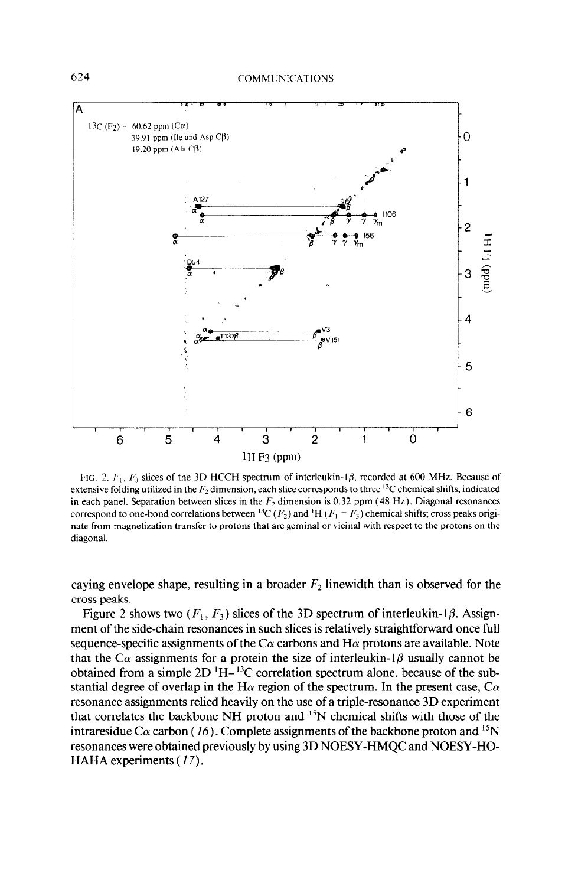

FIG. 2.  $F_1$ ,  $F_3$  slices of the 3D HCCH spectrum of interleukin-1 $\beta$ , recorded at 600 MHz. Because of extensive folding utilized in the  $F_2$  dimension, each slice corresponds to three <sup>13</sup>C chemical shifts, indicated in each panel. Separation between slices in the  $F_2$  dimension is 0.32 ppm (48 Hz). Diagonal resonances correspond to one-bond correlations between <sup>13</sup>C ( $F_2$ ) and <sup>1</sup>H ( $F_1 = F_3$ ) chemical shifts; cross peaks originate from magnetization transfer to protons that are geminal or vicinal with respect to the protons on the diagonal.

caying envelope shape, resulting in a broader  $F_2$  linewidth than is observed for the cross peaks.

Figure 2 shows two  $(F_1, F_3)$  slices of the 3D spectrum of interleukin-1 $\beta$ . Assignment of the side-chain resonances in such slices is relatively straightforward once full sequence-specific assignments of the C $\alpha$  carbons and H $\alpha$  protons are available. Note that the C $\alpha$  assignments for a protein the size of interleukin-1 $\beta$  usually cannot be obtained from a simple 2D  $^1H-^{13}C$  correlation spectrum alone, because of the substantial degree of overlap in the H $\alpha$  region of the spectrum. In the present case,  $C_{\alpha}$ resonance assignments relied heavily on the use of a triple-resonance 3D experiment that correlates the backbone NH proton and <sup>15</sup>N chemical shifts with those of the intraresidue C $\alpha$  carbon (16). Complete assignments of the backbone proton and <sup>15</sup>N resonances were obtained previously by using 3D NOESY-HMQC and NOESY-HO-HAHA experiments (17).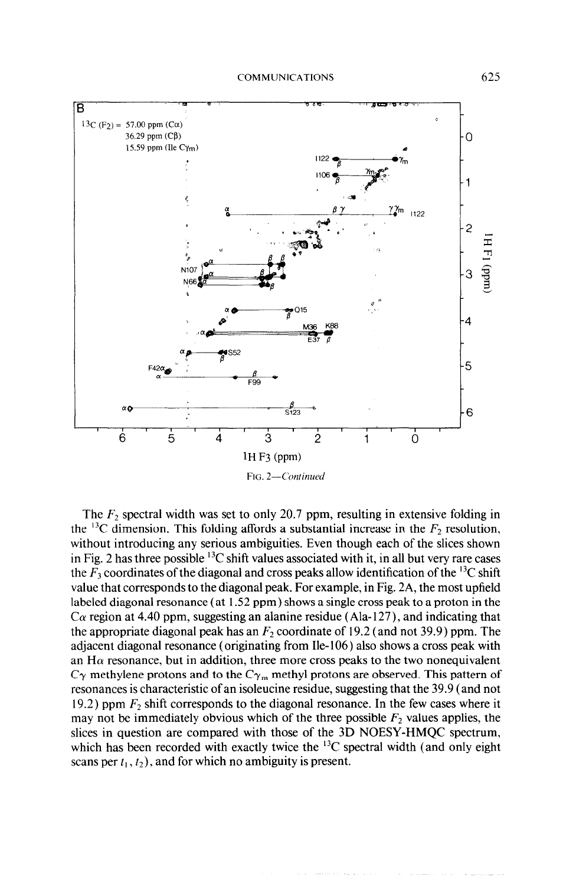

The  $F_2$  spectral width was set to only 20.7 ppm, resulting in extensive folding in the <sup>13</sup>C dimension. This folding affords a substantial increase in the  $F_2$  resolution, without introducing any serious ambiguities. Even though each of the slices shown in Fig. 2 has three possible  ${}^{13}C$  shift values associated with it, in all but very rare cases the  $F_3$  coordinates of the diagonal and cross peaks allow identification of the <sup>13</sup>C shift value that corresponds to the diagonal peak. For example, in Fig. 2A, the most upfield labeled diagonal resonance (at 1.52 ppm) shows a single cross peak to a proton in the  $C\alpha$  region at 4.40 ppm, suggesting an alanine residue (Ala-127), and indicating that the appropriate diagonal peak has an  $F<sub>2</sub>$  coordinate of 19.2 (and not 39.9) ppm. The adjacent diagonal resonance (originating from Ile- 106) also shows a cross peak with an  $H\alpha$  resonance, but in addition, three more cross peaks to the two nonequivalent  $C_{\gamma}$  methylene protons and to the  $C_{\gamma_m}$  methyl protons are observed. This pattern of resonances is characteristic of an isoleucine residue, suggesting that the 39.9 (and not 19.2) ppm  $F_2$  shift corresponds to the diagonal resonance. In the few cases where it may not be immediately obvious which of the three possible  $F_2$  values applies, the slices in question are compared with those of the 3D NOESY-HMQC spectrum, which has been recorded with exactly twice the  $^{13}$ C spectral width (and only eight scans per  $t_1, t_2$ , and for which no ambiguity is present.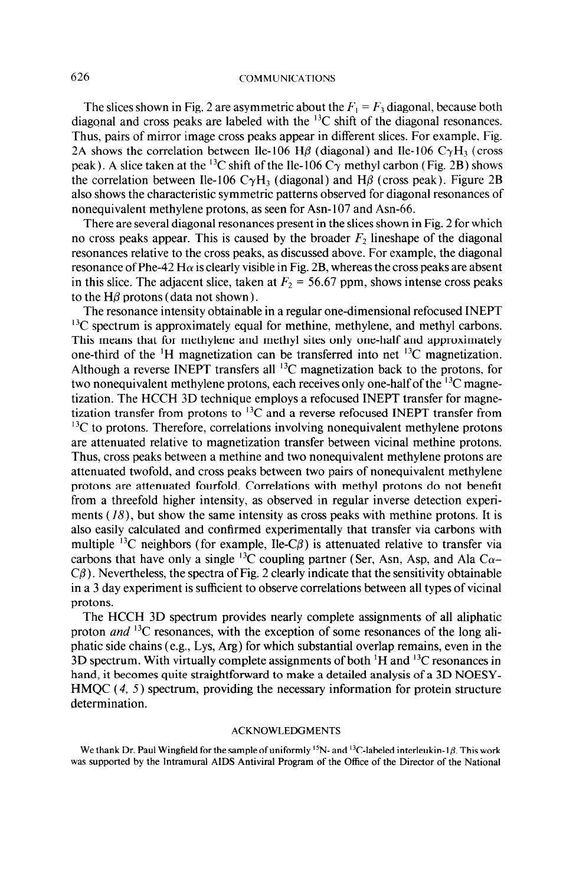## 626 COMMUNICATIONS

The slices shown in Fig. 2 are asymmetric about the  $F_1 = F_3$  diagonal, because both diagonal and cross peaks are labeled with the  ${}^{13}C$  shift of the diagonal resonances. Thus, pairs of mirror image cross peaks appear in different slices. For example. Fig. 2A shows the correlation between Ile-106 H $\beta$  (diagonal) and Ile-106 C $\gamma$ H<sub>3</sub> (cross peak). A slice taken at the <sup>13</sup>C shift of the Ile-106 C $\gamma$  methyl carbon (Fig. 2B) shows the correlation between Ile-106 C $\gamma$ H<sub>3</sub> (diagonal) and H $\beta$  (cross peak). Figure 2B also shows the characteristic symmetric patterns observed for diagonal resonances of nonequivalent methylene protons, as seen for Asn-107 and Asn-66.

There are several diagonal resonances present in the slices shown in Fig. 2 for which no cross peaks appear. This is caused by the broader  $F_2$  lineshape of the diagonal resonances relative to the cross peaks, as discussed above. For example, the diagonal resonance of Phe-42 H $\alpha$  is clearly visible in Fig. 2B, whereas the cross peaks are absent in this slice. The adjacent slice, taken at  $F_2 = 56.67$  ppm, shows intense cross peaks to the H $\beta$  protons (data not shown).

The resonance intensity obtainable in a regular one-dimensional refocused INEPT  $13C$  spectrum is approximately equal for methine, methylene, and methyl carbons. This means that for methylene and methyl sites only one-half and approximately one-third of the  ${}^{1}$ H magnetization can be transferred into net  ${}^{13}$ C magnetization. Although a reverse INEPT transfers all  $^{13}$ C magnetization back to the protons, for two nonequivalent methylene protons, each receives only one-half of the <sup>13</sup>C magnetization. The HCCH 3D technique employs a refocused INEPT transfer for magnetization transfer from protons to  ${}^{13}C$  and a reverse refocused INEPT transfer from  $13<sup>C</sup>$  to protons. Therefore, correlations involving nonequivalent methylene protons are attenuated relative to magnetization transfer between vicinal methine protons. Thus, cross peaks between a methine and two nonequivalent methylene protons are attenuated twofold, and cross peaks between two pairs of nonequivalent methylene protons are attenuated fourfold. Correlations with methyl protons do not benefit from a threefold higher intensity, as observed in regular inverse detection experiments  $(18)$ , but show the same intensity as cross peaks with methine protons. It is also easily calculated and confirmed experimentally that transfer via carbons with multiple <sup>13</sup>C neighbors (for example, Ile-C $\beta$ ) is attenuated relative to transfer via carbons that have only a single <sup>13</sup>C coupling partner (Ser, Asn, Asp, and Ala C $\alpha$ - $C\beta$ ). Nevertheless, the spectra of Fig. 2 clearly indicate that the sensitivity obtainable in a 3 day experiment is sufficient to observe correlations between all types of vicinal protons.

The HCCH 3D spectrum provides nearly complete assignments of all aliphatic proton *and* <sup>13</sup>C resonances, with the exception of some resonances of the long aliphatic side chains (e.g., Lys, Arg) for which substantial overlap remains, even in the 3D spectrum. With virtually complete assignments of both  $H$  and  $H^3C$  resonances in hand, it becomes quite straightforward to make a detailed analysis of a 3D NOESY- $HMQC$  (4, 5) spectrum, providing the necessary information for protein structure determination.

#### ACKNOWLEDGMENTS

We thank Dr. Paul Wingfield for the sample of uniformly 15N- and '3C-labeled interleukin- I/3. This work  $\sim$  the Intramagnetic by the Sample of throwing  $\sim$  the  $\sim$  and  $\sim$  -algebra interference  $\mu$ , this we